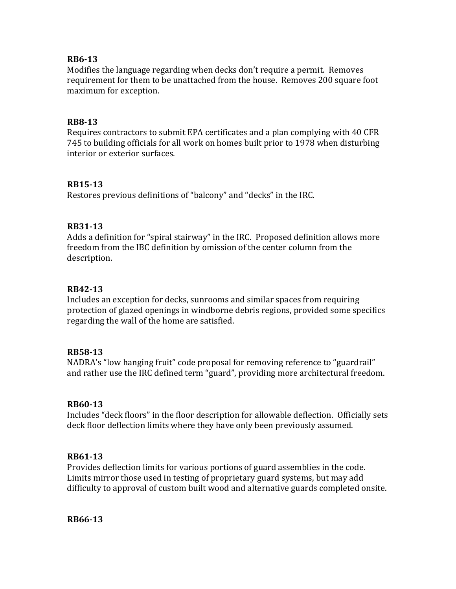## **RB6-13**

Modifies the language regarding when decks don't require a permit. Removes requirement for them to be unattached from the house. Removes 200 square foot maximum for exception.

## **RB8-13**

Requires contractors to submit EPA certificates and a plan complying with 40 CFR 745 to building officials for all work on homes built prior to 1978 when disturbing interior or exterior surfaces.

## **RB15-13**

Restores previous definitions of "balcony" and "decks" in the IRC.

## **RB31-13**

Adds a definition for "spiral stairway" in the IRC. Proposed definition allows more freedom from the IBC definition by omission of the center column from the description.

## **RB42-13**

Includes an exception for decks, sunrooms and similar spaces from requiring protection of glazed openings in windborne debris regions, provided some specifics regarding the wall of the home are satisfied.

## **RB58-13**

NADRA's "low hanging fruit" code proposal for removing reference to "guardrail" and rather use the IRC defined term "guard", providing more architectural freedom.

## **RB60-13**

Includes "deck floors" in the floor description for allowable deflection. Officially sets deck floor deflection limits where they have only been previously assumed.

## **RB61-13**

Provides deflection limits for various portions of guard assemblies in the code. Limits mirror those used in testing of proprietary guard systems, but may add difficulty to approval of custom built wood and alternative guards completed onsite.

**RB66-13**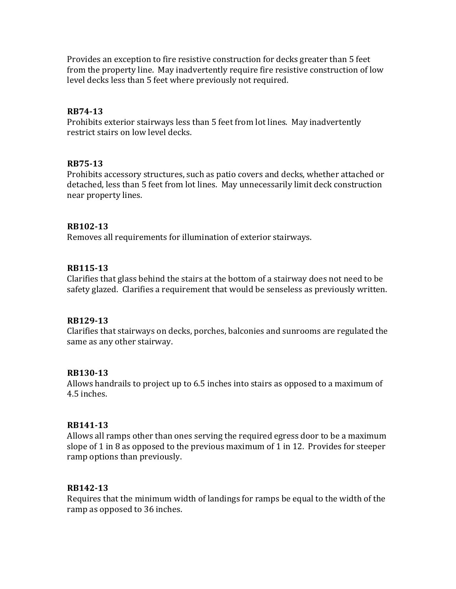Provides an exception to fire resistive construction for decks greater than 5 feet from the property line. May inadvertently require fire resistive construction of low level decks less than 5 feet where previously not required.

## **RB74-13**

Prohibits exterior stairways less than 5 feet from lot lines. May inadvertently restrict stairs on low level decks.

## **RB75-13**

Prohibits accessory structures, such as patio covers and decks, whether attached or detached, less than 5 feet from lot lines. May unnecessarily limit deck construction near property lines.

## **RB102-13**

Removes all requirements for illumination of exterior stairways.

## **RB115-13**

Clarifies that glass behind the stairs at the bottom of a stairway does not need to be safety glazed. Clarifies a requirement that would be senseless as previously written.

## **RB129-13**

Clarifies that stairways on decks, porches, balconies and sunrooms are regulated the same as any other stairway.

## **RB130-13**

Allows handrails to project up to 6.5 inches into stairs as opposed to a maximum of 4.5 inches.

## **RB141-13**

Allows all ramps other than ones serving the required egress door to be a maximum slope of 1 in 8 as opposed to the previous maximum of 1 in 12. Provides for steeper ramp options than previously.

# **RB142-13**

Requires that the minimum width of landings for ramps be equal to the width of the ramp as opposed to 36 inches.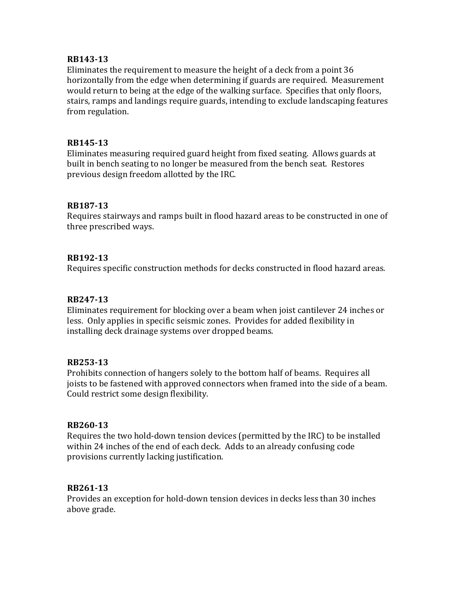## **RB143-13**

Eliminates the requirement to measure the height of a deck from a point 36 horizontally from the edge when determining if guards are required. Measurement would return to being at the edge of the walking surface. Specifies that only floors, stairs, ramps and landings require guards, intending to exclude landscaping features from regulation.

## **RB145-13**

Eliminates measuring required guard height from fixed seating. Allows guards at built in bench seating to no longer be measured from the bench seat. Restores previous design freedom allotted by the IRC.

## **RB187-13**

Requires stairways and ramps built in flood hazard areas to be constructed in one of three prescribed ways.

## **RB192-13**

Requires specific construction methods for decks constructed in flood hazard areas.

## **RB247-13**

Eliminates requirement for blocking over a beam when joist cantilever 24 inches or less. Only applies in specific seismic zones. Provides for added flexibility in installing deck drainage systems over dropped beams.

## **RB253-13**

Prohibits connection of hangers solely to the bottom half of beams. Requires all joists to be fastened with approved connectors when framed into the side of a beam. Could restrict some design flexibility.

# **RB260-13**

Requires the two hold-down tension devices (permitted by the IRC) to be installed within 24 inches of the end of each deck. Adds to an already confusing code provisions currently lacking justification.

# **RB261-13**

Provides an exception for hold-down tension devices in decks less than 30 inches above grade.